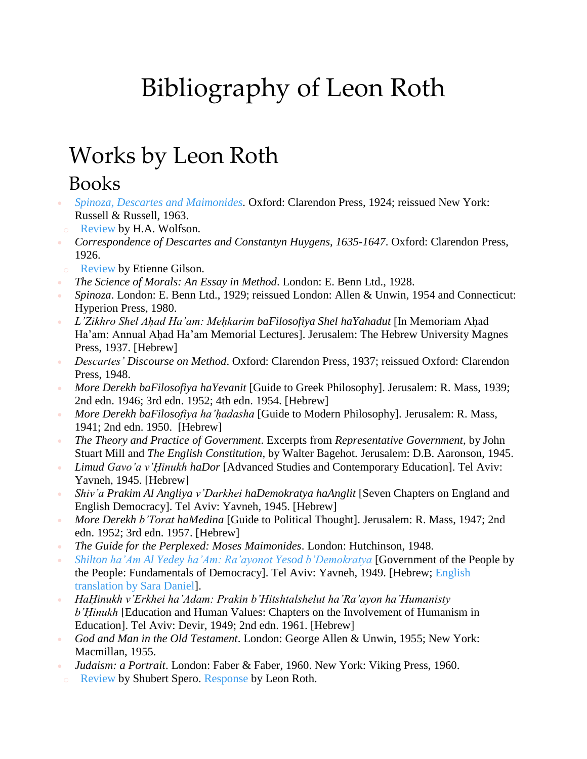# Bibliography of Leon Roth

## Works by Leon Roth

#### Books

- *Spinoza, Descartes and [Maimonides.](https://archive.org/details/spinozadescartes00roth)* Oxford: Clarendon Press, 1924; reissued New York: Russell & Russell, 1963.
- o [Review](http://media.wix.com/ugd/01b672_36872131cf604b28a14617b41c991e28.pdf) by H.A. Wolfson.
- *Correspondence of Descartes and Constantyn Huygens, 1635-1647*. Oxford: Clarendon Press, 1926.
- o [Review](http://media.wix.com/ugd/01b672_77f8a556b3254916bc8df250c0178e73.pdf) by Etienne Gilson.
- *The Science of Morals: An Essay in Method*. London: E. Benn Ltd., 1928.
- *Spinoza*. London: E. Benn Ltd., 1929; reissued London: Allen & Unwin, 1954 and Connecticut: Hyperion Press, 1980.
- *L'Zikhro Shel Ahad Ha'am: Mehkarim baFilosofiya Shel haYahadut* **[In Memoriam Ahad]** Ha'am: Annual Ahad Ha'am Memorial Lectures]. Jerusalem: The Hebrew University Magnes Press, 1937. [Hebrew]
- *Descartes' Discourse on Method*. Oxford: Clarendon Press, 1937; reissued Oxford: Clarendon Press, 1948.
- *More Derekh baFilosofiya haYevanit* [Guide to Greek Philosophy]. Jerusalem: R. Mass, 1939; 2nd edn. 1946; 3rd edn. 1952; 4th edn. 1954. [Hebrew]
- *More Derekh baFilosofiya ha'hạ dasha* [Guide to Modern Philosophy]. Jerusalem: R. Mass, 1941; 2nd edn. 1950. [Hebrew]
- *The Theory and Practice of Government*. Excerpts from *Representative Government*, by John Stuart Mill and *The English Constitution*, by Walter Bagehot. Jerusalem: D.B. Aaronson, 1945.
- *Limud Gavo'a v'Ḥinukh haDor* [Advanced Studies and Contemporary Education]. Tel Aviv: Yavneh, 1945. [Hebrew]
- *Shiv'a Prakim Al Angliya v'Darkhei haDemokratya haAnglit* [Seven Chapters on England and English Democracy]. Tel Aviv: Yavneh, 1945. [Hebrew]
- *More Derekh b'Torat haMedina* [Guide to Political Thought]. Jerusalem: R. Mass, 1947; 2nd edn. 1952; 3rd edn. 1957. [Hebrew]
- *The Guide for the Perplexed: Moses Maimonides*. London: Hutchinson, 1948.
- *Shilton ha'Am Al Yedey ha'Am: Ra'ayonot Yesod [b'Demokratya](http://media.wix.com/ugd/01b672_3515a6f1afca4833a2c099d126ee8733.pdf)* [Government of the People by the People: Fundamentals of Democracy]. Tel Aviv: Yavneh, 1949. [Hebrew; [English](http://media.wix.com/ugd/01b672_a2fe1ad3bb8047c4b58babaae152ce1e.pdf) [translation](http://media.wix.com/ugd/01b672_a2fe1ad3bb8047c4b58babaae152ce1e.pdf) by Sara Daniel].
- *HaḤinukh v'Erkhei ha'Adam: Prakin b'Hitshtalshelut ha'Ra'ayon ha'Humanisty b'Ḥinukh* [Education and Human Values: Chapters on the Involvement of Humanism in Education]. Tel Aviv: Devir, 1949; 2nd edn. 1961. [Hebrew]
- *God and Man in the Old Testament*. London: George Allen & Unwin, 1955; New York: Macmillan, 1955.
- *Judaism: a Portrait*. London: Faber & Faber, 1960. New York: Viking Press, 1960.
- [Review](http://media.wix.com/ugd/01b672_84789820815e43939d68faa721d80714.pdf) by Shubert Spero. [Response](http://media.wix.com/ugd/01b672_36f89a65436444e18f2650a4ea19fb06.pdf) by Leon Roth.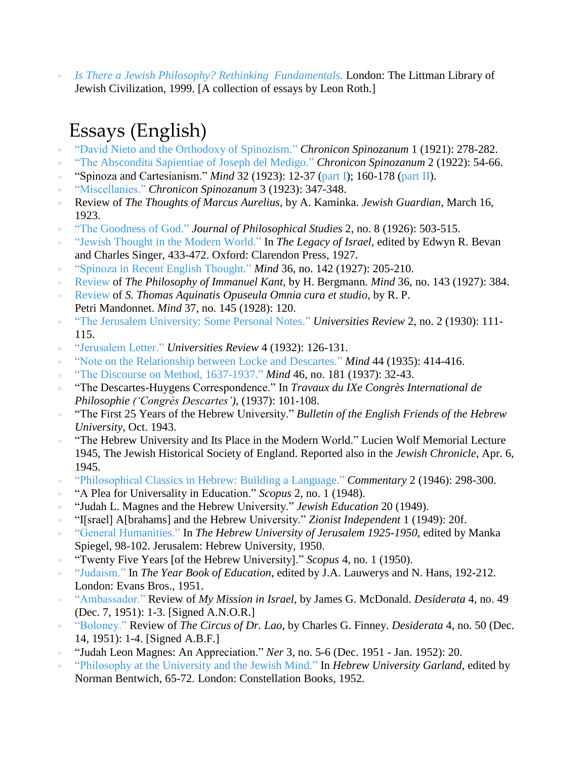*Is There a Jewish Philosophy? Rethinking [Fundamentals.](http://www.littman.co.uk/cat/roth.html)* London: The Littman Library of Jewish Civilization, 1999. [A collection of essays by Leon Roth.]

#### Essays (English)

- "David Nieto and the Orthodoxy of [Spinozism."](http://media.wix.com/ugd/01b672_c3b427c331294b0194fdc13ddab509d8.pdf) *Chronicon Spinozanum* 1 (1921): 278-282.
- "The [Abscondita](http://media.wix.com/ugd/01b672_9895b7989652487f8ac2fbb3e3ef25e3.pdf) Sapientiae of Joseph del Medigo." *Chronicon Spinozanum* 2 (1922): 54-66.
- "Spinoza and Cartesianism." *Mind* 32 (1923): 12-37 [\(part](http://media.wix.com/ugd/01b672_23f8763a70684301808af94ac4c8b507.pdf) I); 160-178 (part II).
- ["Miscellanies."](http://media.wix.com/ugd/01b672_45c5276f344544e8b5b4020b2a3dc7c1.pdf) *Chronicon Spinozanum* 3 (1923): 347-348.
- Review of *The Thoughts of Marcus Aurelius*, by A. Kaminka. *Jewish Guardian*, March 16, 1923.
- "The [Goodness](http://media.wix.com/ugd/01b672_db445c73bf31455ebbf375802975e72f.pdf) of God." *Journal of Philosophical Studies* 2, no. 8 (1926): 503-515.
- "Jewish [Thought](http://media.wix.com/ugd/01b672_9fbfdd9d5dbf4688b6dcb6a351e5b7d6.pdf) in the Modern World." In *The Legacy of Israel*, edited by Edwyn R. Bevan and Charles Singer, 433-472. Oxford: Clarendon Press, 1927.
- "Spinoza in Recent English [Thought."](http://media.wix.com/ugd/01b672_e13163d3dffb4a108f6b88199f32cff7.pdf) *Mind* 36, no. 142 (1927): 205-210.
- [Review](http://media.wix.com/ugd/01b672_22652ac9aeda4b229afde3ce42ff1ef4.pdf) of *The Philosophy of Immanuel Kant*, by H. Bergmann. *Mind* 36, no. 143 (1927): 384.
- [Review](http://media.wix.com/ugd/01b672_c6d5f28850af4bc58a648960ccb9d6d4.pdf) of *S. Thomas Aquinatis Opuseula Omnia cura et studio*, by R. P. Petri Mandonnet. *Mind* 37, no. 145 (1928): 120.
- "The Jerusalem [University:](http://media.wix.com/ugd/01b672_74dedb59d3564d6ea6b474a3b73dd0d5.pdf) Some Personal Notes." *Universities Review* 2, no. 2 (1930): 111- 115.
- ["Jerusalem](http://media.wix.com/ugd/01b672_e371d4814047467c9edce40eda93cd6c.pdf) Letter." *Universities Review* 4 (1932): 126-131.
- "Note on the [Relationship](http://media.wix.com/ugd/01b672_c6c2c2f7d0a643d1a51d2a62116ddc7c.pdf) between Locke and Descartes." *Mind* 44 (1935): 414-416.
- "The Discourse on Method, [1637-1937."](http://media.wix.com/ugd/01b672_c4afdc5840da4ec484d32fa2a7323d17.pdf) *Mind* 46, no. 181 (1937): 32-43.
- "The Descartes-Huygens Correspondence." In *Travaux du IXe Congrès International de Philosophie ('Congrès Descartes')*, (1937): 101-108.
- "The First 25 Years of the Hebrew University." *Bulletin of the English Friends of the Hebrew University*, Oct. 1943.
- "The Hebrew University and Its Place in the Modern World." Lucien Wolf Memorial Lecture 1945, The Jewish Historical Society of England. Reported also in the *Jewish Chronicle*, Apr. 6, 1945.
- ["Philosophical](http://media.wix.com/ugd/01b672_e9328b5ca35c47b3a0cd3a319fc6a753.pdf) Classics in Hebrew: Building a Language." *Commentary* 2 (1946): 298-300.
- "A Plea for Universality in Education." *Scopus* 2, no. 1 (1948).
- "Judah L. Magnes and the Hebrew University." *Jewish Education* 20 (1949).
- "I[srael] A[brahams] and the Hebrew University." *Zionist Independent* 1 (1949): 20f.
- "General [Humanities."](http://media.wix.com/ugd/01b672_8be27b04c9c042ab8225da327da91956.pdf) In *The Hebrew University of Jerusalem 1925-1950*, edited by Manka Spiegel, 98-102. Jerusalem: Hebrew University, 1950.
- "Twenty Five Years [of the Hebrew University]." *Scopus* 4, no. 1 (1950).
- ["Judaism."](http://media.wix.com/ugd/01b672_49a358433b5043d0b7961e1631ddc422.pdf) In *The Year Book of Education*, edited by J.A. Lauwerys and N. Hans, 192-212. London: Evans Bros., 1951.
- ["Ambassador."](http://media.wix.com/ugd/01b672_3a112e085e2b47cd94f97dd203c2477a.pdf) Review of *My Mission in Israel*, by James G. McDonald. *Desiderata* 4, no. 49 (Dec. 7, 1951): 1-3. [Signed A.N.O.R.]
- ["Boloney."](http://media.wix.com/ugd/01b672_334fae466f9040c3a08b840eff4e9298.pdf) Review of *The Circus of Dr. Lao*, by Charles G. Finney. *Desiderata* 4, no. 50 (Dec. 14, 1951): 1-4. [Signed A.B.F.]
- "Judah Leon Magnes: An Appreciation." *Ner* 3, no. 5-6 (Dec. 1951 Jan. 1952): 20.
- ["Philosophy](http://media.wix.com/ugd/01b672_fee98a86a28b4b74a53a2c6f9ba373cd.pdf) at the University and the Jewish Mind." In *Hebrew University Garland*, edited by Norman Bentwich, 65-72. London: Constellation Books, 1952.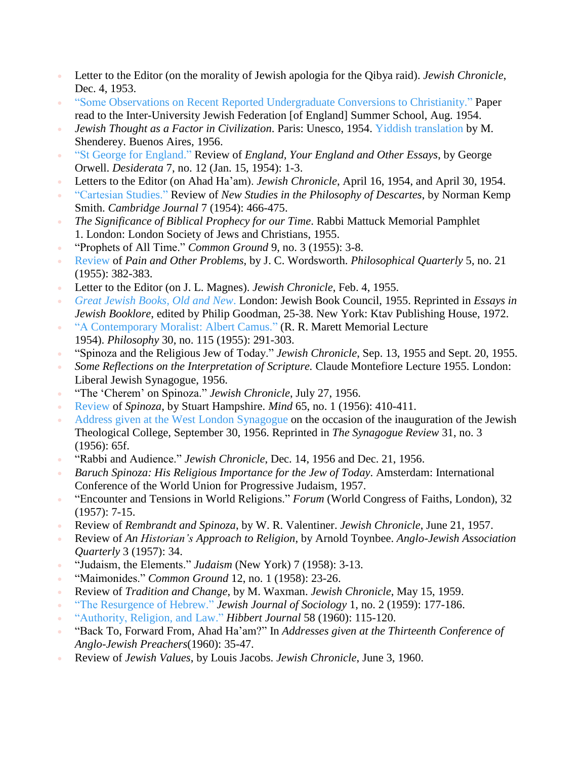- Letter to the Editor (on the morality of Jewish apologia for the Qibya raid). *Jewish Chronicle*, Dec. 4, 1953.
- "Some Observations on Recent Reported [Undergraduate](http://media.wix.com/ugd/01b672_92a9c2b1dae84888971cdc2667f8bbef.pdf) Conversions to Christianity." Paper read to the Inter-University Jewish Federation [of England] Summer School, Aug. 1954.
- *Jewish Thought as a Factor in Civilization*. Paris: Unesco, 1954. Yiddish [translation](https://archive.org/details/nybc210078) by M. Shenderey. Buenos Aires, 1956.
- "St George for [England."](http://media.wix.com/ugd/01b672_3e08b0ec71cf4bc9b12c290747874381.pdf) Review of *England, Your England and Other Essays*, by George Orwell. *Desiderata* 7, no. 12 (Jan. 15, 1954): 1-3.
- Letters to the Editor (on Ahad Ha'am). *Jewish Chronicle*, April 16, 1954, and April 30, 1954.
- ["Cartesian](http://media.wix.com/ugd/01b672_790e6760fd9244829442500199ba3e29.pdf) Studies." Review of *New Studies in the Philosophy of Descartes*, by Norman Kemp Smith. *Cambridge Journal* 7 (1954): 466-475.
- *The Significance of Biblical Prophecy for our Time*. Rabbi Mattuck Memorial Pamphlet 1. London: London Society of Jews and Christians, 1955.
- "Prophets of All Time." *Common Ground* 9, no. 3 (1955): 3-8.
- [Review](http://media.wix.com/ugd/01b672_a802b29212dd41b98f341e12e21134e1.pdf) of *Pain and Other Problems*, by J. C. Wordsworth. *Philosophical Quarterly* 5, no. 21 (1955): 382-383.
- Letter to the Editor (on J. L. Magnes). *Jewish Chronicle*, Feb. 4, 1955.
- *Great [Jewish](http://media.wix.com/ugd/01b672_5015a351fdf24336a71f137ec1438693.pdf) Books, Old and New*. London: Jewish Book Council, 1955. Reprinted in *Essays in Jewish Booklore*, edited by Philip Goodman, 25-38. New York: Ktav Publishing House, 1972.
- <sup>•</sup> "A [Contemporary](http://media.wix.com/ugd/01b672_83d48934a0414621a0495d36a4bb8142.pdf) Moralist: Albert Camus." (R. R. Marett Memorial Lecture 1954). *Philosophy* 30, no. 115 (1955): 291-303.
- "Spinoza and the Religious Jew of Today." *Jewish Chronicle*, Sep. 13, 1955 and Sept. 20, 1955.
- *Some Reflections on the Interpretation of Scripture.* Claude Montefiore Lecture 1955. London: Liberal Jewish Synagogue, 1956.
- "The 'Cherem' on Spinoza." *Jewish Chronicle*, July 27, 1956.
- [Review](http://media.wix.com/ugd/01b672_3932d9ef01a246fcadd3fab0dd5c997b.pdf) of *Spinoza*, by Stuart Hampshire. *Mind* 65, no. 1 (1956): 410-411.
- Address given at the West London [Synagogue](http://media.wix.com/ugd/01b672_9399d2e8387348cbbb3e4dddabb31831.pdf) on the occasion of the inauguration of the Jewish Theological College, September 30, 1956. Reprinted in *The Synagogue Review* 31, no. 3 (1956): 65f.
- "Rabbi and Audience." *Jewish Chronicle*, Dec. 14, 1956 and Dec. 21, 1956.
- *Baruch Spinoza: His Religious Importance for the Jew of Today*. Amsterdam: International Conference of the World Union for Progressive Judaism, 1957.
- "Encounter and Tensions in World Religions." *Forum* (World Congress of Faiths, London), 32 (1957): 7-15.
- Review of *Rembrandt and Spinoza*, by W. R. Valentiner. *Jewish Chronicle*, June 21, 1957.
- Review of *An Historian's Approach to Religion*, by Arnold Toynbee. *Anglo-Jewish Association Quarterly* 3 (1957): 34.
- "Judaism, the Elements." *Judaism* (New York) 7 (1958): 3-13.
- "Maimonides." *Common Ground* 12, no. 1 (1958): 23-26.
- Review of *Tradition and Change*, by M. Waxman. *Jewish Chronicle*, May 15, 1959.
- "The [Resurgence](http://media.wix.com/ugd/01b672_366e70deb2034223b8c7facc9b5e93de.pdf) of Hebrew." *Jewish Journal of Sociology* 1, no. 2 (1959): 177-186.
- ["Authority,](http://media.wix.com/ugd/01b672_285979f1981c4584ab61eda2d19718ba.pdf) Religion, and Law." *Hibbert Journal* 58 (1960): 115-120.
- "Back To, Forward From, Ahad Ha'am?" In *Addresses given at the Thirteenth Conference of Anglo-Jewish Preachers*(1960): 35-47.
- Review of *Jewish Values*, by Louis Jacobs. *Jewish Chronicle*, June 3, 1960.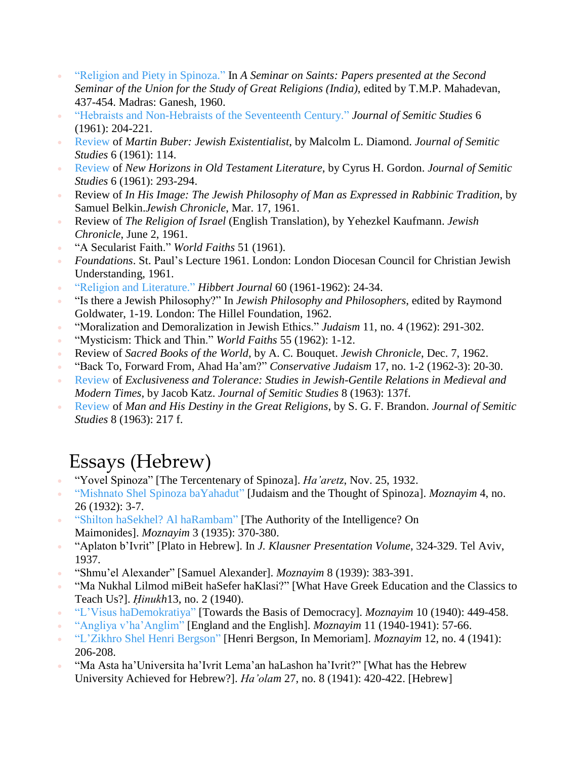- "Religion and Piety in [Spinoza."](http://media.wix.com/ugd/01b672_af1d5fead68a43d8aad55be0406434e0.pdf) In *A Seminar on Saints: Papers presented at the Second Seminar of the Union for the Study of Great Religions (India)*, edited by T.M.P. Mahadevan, 437-454. Madras: Ganesh, 1960.
- "Hebraists and [Non-Hebraists](http://media.wix.com/ugd/01b672_8581b310ce6f47a1bb639095c7ccb498.pdf) of the Seventeenth Century." *Journal of Semitic Studies* 6 (1961): 204-221.
- [Review](http://media.wix.com/ugd/01b672_23e68f268f3a43118a59d3d48f8ac88f.pdf) of *Martin Buber: Jewish Existentialist*, by Malcolm L. Diamond. *Journal of Semitic Studies* 6 (1961): 114.
- [Review](http://media.wix.com/ugd/01b672_aee0f77ff2964eb9aeda6c66cd75e1ec.pdf) of *New Horizons in Old Testament Literature*, by Cyrus H. Gordon. *Journal of Semitic Studies* 6 (1961): 293-294.
- Review of *In His Image: The Jewish Philosophy of Man as Expressed in Rabbinic Tradition*, by Samuel Belkin.*Jewish Chronicle*, Mar. 17, 1961.
- Review of *The Religion of Israel* (English Translation), by Yehezkel Kaufmann. *Jewish Chronicle*, June 2, 1961.
- "A Secularist Faith." *World Faiths* 51 (1961).
- *Foundations*. St. Paul's Lecture 1961. London: London Diocesan Council for Christian Jewish Understanding, 1961.
- "Religion and [Literature."](http://media.wix.com/ugd/01b672_fd773a0030be402aa88ee321d0ad37f6.pdf) *Hibbert Journal* 60 (1961-1962): 24-34.
- "Is there a Jewish Philosophy?" In *Jewish Philosophy and Philosophers*, edited by Raymond Goldwater, 1-19. London: The Hillel Foundation, 1962.
- "Moralization and Demoralization in Jewish Ethics." *Judaism* 11, no. 4 (1962): 291-302.
- "Mysticism: Thick and Thin." *World Faiths* 55 (1962): 1-12.
- Review of *Sacred Books of the World*, by A. C. Bouquet. *Jewish Chronicle*, Dec. 7, 1962.
- "Back To, Forward From, Ahad Ha'am?" *Conservative Judaism* 17, no. 1-2 (1962-3): 20-30.
- [Review](http://media.wix.com/ugd/01b672_77096e1a335546efbcc11d80306d2dea.pdf) of *Exclusiveness and Tolerance: Studies in Jewish-Gentile Relations in Medieval and Modern Times*, by Jacob Katz. *Journal of Semitic Studies* 8 (1963): 137f.
- [Review](http://media.wix.com/ugd/01b672_65ad88669cb64f4ca797b5a1615bc5a0.pdf) of *Man and His Destiny in the Great Religions*, by S. G. F. Brandon. *Journal of Semitic Studies* 8 (1963): 217 f.

#### Essays (Hebrew)

- "Yovel Spinoza" [The Tercentenary of Spinoza]. *Ha'aretz*, Nov. 25, 1932.
- "Mishnato Shel Spinoza [baYahadut"](http://media.wix.com/ugd/01b672_ec29546ec34d467b900e35588bed415a.pdf) [Judaism and the Thought of Spinoza]. *Moznayim* 4, no. 26 (1932): 3-7.
- "Shilton haSekhel? Al [haRambam"](http://media.wix.com/ugd/01b672_f69531a21b894cd39c18da0cf72236a4.pdf) [The Authority of the Intelligence? On Maimonides]. *Moznayim* 3 (1935): 370-380.
- "Aplaton b'Ivrit" [Plato in Hebrew]. In *J. Klausner Presentation Volume*, 324-329. Tel Aviv, 1937.
- "Shmu'el Alexander" [Samuel Alexander]. *Moznayim* 8 (1939): 383-391.
- "Ma Nukhal Lilmod miBeit haSefer haKlasi?" [What Have Greek Education and the Classics to Teach Us?]. *Ḥinukh*13, no. 2 (1940).
- "L'Visus [haDemokratiya"](http://media.wix.com/ugd/01b672_2054fa1215be44f2b3eb0d9bf3e0ee89.pdf) [Towards the Basis of Democracy]. *Moznayim* 10 (1940): 449-458.
- "Angliya [v'ha'Anglim"](http://media.wix.com/ugd/01b672_26257d9c77694b8aad06a5e849b25dfd.pdf) [England and the English]. *Moznayim* 11 (1940-1941): 57-66.
- ["L'Zikhro](http://media.wix.com/ugd/01b672_a400ec4aabe4456e86f55f2b6cddd3d6.pdf) Shel Henri Bergson" [Henri Bergson, In Memoriam]. *Moznayim* 12, no. 4 (1941): 206-208.
- "Ma Asta ha'Universita ha'Ivrit Lema'an haLashon ha'Ivrit?" [What has the Hebrew University Achieved for Hebrew?]. *Ha'olam* 27, no. 8 (1941): 420-422. [Hebrew]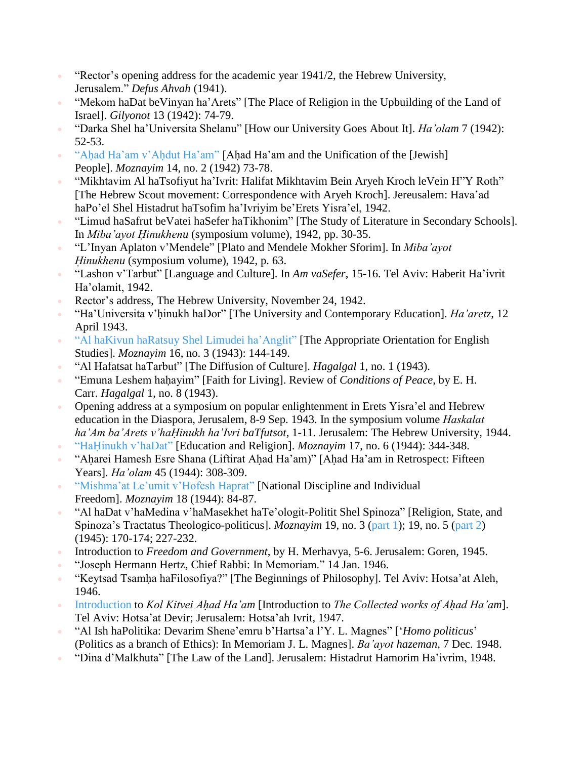- " "Rector's opening address for the academic year  $1941/2$ , the Hebrew University, Jerusalem." *Defus Ahvah* (1941).
- "Mekom haDat beVinyan ha'Arets" [The Place of Religion in the Upbuilding of the Land of Israel]. *Gilyonot* 13 (1942): 74-79.
- "Darka Shel ha'Universita Shelanu" [How our University Goes About It]. *Ha'olam* 7 (1942): 52-53.
- "Ahad Ha'am v'Ahdut [Ha'am"](http://media.wix.com/ugd/01b672_916ff43bd0794e64a16be0228ca44b88.pdf) [Ahad Ha'am and the Unification of the [Jewish] People]. *Moznayim* 14, no. 2 (1942) 73-78.
- "Mikhtavim Al haTsofiyut ha'Ivrit: Halifat Mikhtavim Bein Aryeh Kroch leVein H"Y Roth" [The Hebrew Scout movement: Correspondence with Aryeh Kroch]. Jereusalem: Hava'ad haPo'el Shel Histadrut haTsofim ha'Ivriyim be'Erets Yisra'el, 1942.
- "Limud haSafrut beVatei haSefer haTikhonim" [The Study of Literature in Secondary Schools]. In *Miba'ayot Ḥinukhenu* (symposium volume), 1942, pp. 30-35.
- "L'Inyan Aplaton v'Mendele" [Plato and Mendele Mokher Sforim]. In *Miba'ayot Ḥinukhenu* (symposium volume), 1942, p. 63.
- "Lashon v'Tarbut" [Language and Culture]. In *Am vaSefer*, 15-16. Tel Aviv: Haberit Ha'ivrit Ha'olamit, 1942.
- Rector's address, The Hebrew University, November 24, 1942.
- "Ha'Universita v'hịnukh haDor" [The University and Contemporary Education]. *Ha'aretz*, 12 April 1943.
- "Al haKivun haRatsuy Shel Limudei [ha'Anglit"](http://media.wix.com/ugd/01b672_3671818f5edb42e79afb4e01d09f53d0.pdf) [The Appropriate Orientation for English Studies]. *Moznayim* 16, no. 3 (1943): 144-149.
- "Al Hafatsat haTarbut" [The Diffusion of Culture]. *Hagalgal* 1, no. 1 (1943).
- "Emuna Leshem hahạ yim" [Faith for Living]. Review of *Conditions of Peace*, by E. H. Carr. *Hagalgal* 1, no. 8 (1943).
- Opening address at a symposium on popular enlightenment in Erets Yisra'el and Hebrew education in the Diaspora, Jerusalem, 8-9 Sep. 1943. In the symposium volume *Haskalat ha'Am ba'Arets v'haḤinukh ha'Ivri baTfutsot*, 1-11. Jerusalem: The Hebrew University, 1944.
- " "HaHinukh [v'haDat"](http://media.wix.com/ugd/01b672_64919309455648d18dda0b91e12ca447.pdf) [Education and Religion]. *Moznayim* 17, no. 6 (1944): 344-348.
- " "Aharei Hamesh Esre Shana (Liftirat Ahad Ha'am)" [Ahad Ha'am in Retrospect: Fifteen Years]. *Ha'olam* 45 (1944): 308-309.
- ["Mishma'at](http://media.wix.com/ugd/01b672_8bd014211afe48a296b16f2a8ea90fb2.pdf) Le'umit v'Hofesh Haprat" [National Discipline and Individual Freedom]. *Moznayim* 18 (1944): 84-87.
- "Al haDat v'haMedina v'haMasekhet haTe'ologit-Politit Shel Spinoza" [Religion, State, and Spinoza's Tractatus Theologico-politicus]. *Moznayim* 19, no. 3 [\(part](http://media.wix.com/ugd/01b672_a68e90caf2154c81bebe77c99844ec8b.pdf) 1); 19, no. 5 (part 2) (1945): 170-174; 227-232.
- Introduction to *Freedom and Government*, by H. Merhavya, 5-6. Jerusalem: Goren, 1945.
- "Joseph Hermann Hertz, Chief Rabbi: In Memoriam." 14 Jan. 1946.
- "Keytsad Tsamhạ haFilosofiya?" [The Beginnings of Philosophy]. Tel Aviv: Hotsa'at Aleh, 1946.
- [Introduction](http://media.wix.com/ugd/01b672_337ac7789c3644799b58f0b363d9a1f0.pdf) to *Kol Kitvei Ahạ d Ha'am* [Introduction to *The Collected works of Ahạ d Ha'am*]. Tel Aviv: Hotsa'at Devir; Jerusalem: Hotsa'ah Ivrit, 1947.
- "Al Ish haPolitika: Devarim Shene'emru b'Hartsa'a l'Y. L. Magnes" ['*Homo politicus*' (Politics as a branch of Ethics): In Memoriam J. L. Magnes]. *Ba'ayot hazeman*, 7 Dec. 1948.
- "Dina d'Malkhuta" [The Law of the Land]. Jerusalem: Histadrut Hamorim Ha'ivrim, 1948.